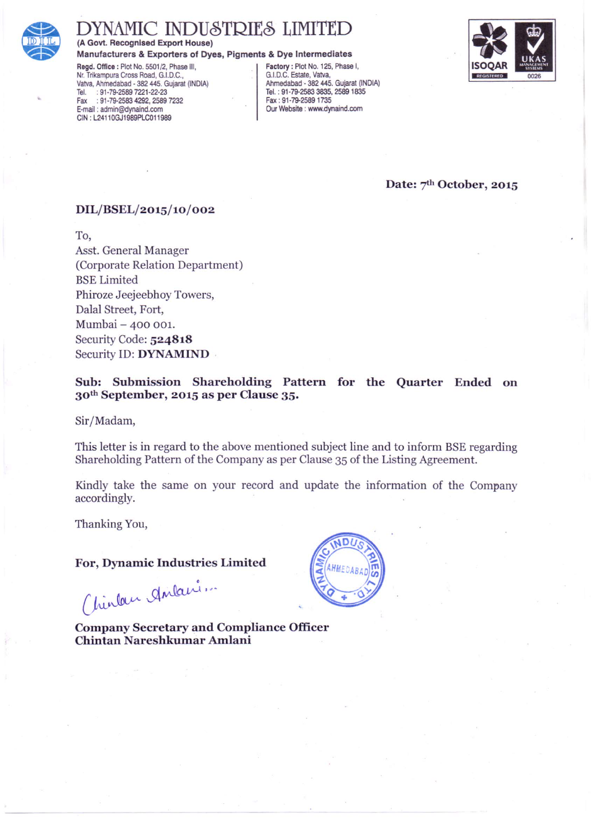

# **AMIC INDUSTRIES LIMITED**

(A Govt. Recognised Export House)

Manufacturers & Exporters of Dyes, Pigments & Dye Intermediates

Regd. Office : Plot No. 5501/2, Phase III. Nr. Trikampura Cross Road, G.I.D.C. Vatva, Ahmedabad - 382 445. Gujarat (INDIA) : 91-79-2589 7221-22-23 Tel. Fax: 91-79-2583 4292, 2589 7232 E-mail: admin@dynaind.com CIN: L24110GJ1989PLC011989

Factory: Plot No. 125, Phase I, G.I.D.C. Estate, Vatva, Ahmedabad - 382 445. Guiarat (INDIA) Tel.: 91-79-2583 3835, 2589 1835 Fax: 91-79-2589 1735 Our Website : www.dynaind.com



Date: 7<sup>th</sup> October, 2015

# DIL/BSEL/2015/10/002

To. Asst. General Manager (Corporate Relation Department) **BSE** Limited Phiroze Jeejeebhoy Towers, Dalal Street, Fort, Mumbai - 400 001. Security Code: 524818 Security ID: DYNAMIND

Sub: Submission Shareholding Pattern for the Quarter Ended on 30<sup>th</sup> September, 2015 as per Clause 35.

Sir/Madam,

This letter is in regard to the above mentioned subject line and to inform BSE regarding Shareholding Pattern of the Company as per Clause 35 of the Listing Agreement.

Kindly take the same on your record and update the information of the Company accordingly.

Thanking You,

For, Dynamic Industries Limited

(hinton Antani.

**Company Secretary and Compliance Officer** Chintan Nareshkumar Amlani

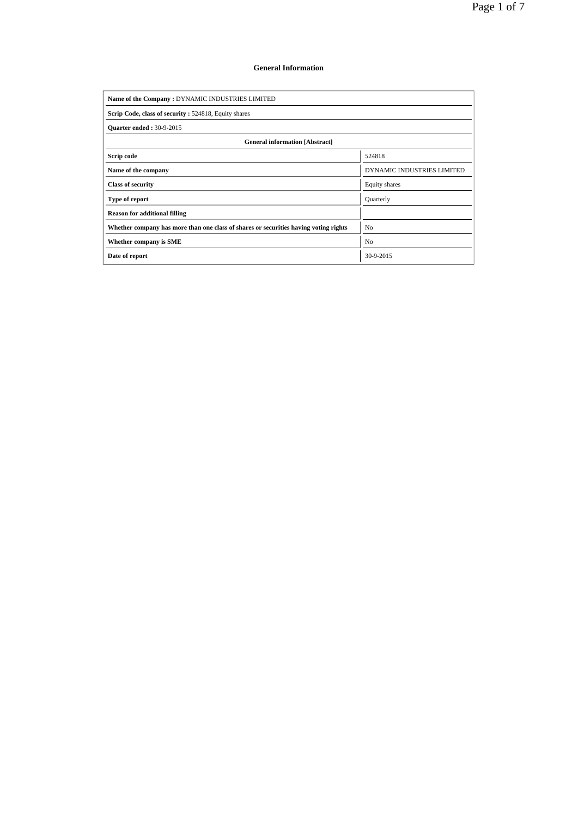### **General Information**

| Name of the Company: DYNAMIC INDUSTRIES LIMITED                                      |                            |  |  |  |  |  |  |  |
|--------------------------------------------------------------------------------------|----------------------------|--|--|--|--|--|--|--|
| Scrip Code, class of security: 524818, Equity shares                                 |                            |  |  |  |  |  |  |  |
| <b>Ouarter ended: 30-9-2015</b>                                                      |                            |  |  |  |  |  |  |  |
| <b>General information [Abstract]</b>                                                |                            |  |  |  |  |  |  |  |
| Scrip code                                                                           | 524818                     |  |  |  |  |  |  |  |
| Name of the company                                                                  | DYNAMIC INDUSTRIES LIMITED |  |  |  |  |  |  |  |
| <b>Class of security</b>                                                             | Equity shares              |  |  |  |  |  |  |  |
| Type of report                                                                       | Quarterly                  |  |  |  |  |  |  |  |
| <b>Reason for additional filling</b>                                                 |                            |  |  |  |  |  |  |  |
| Whether company has more than one class of shares or securities having voting rights | No                         |  |  |  |  |  |  |  |
| Whether company is SME                                                               | No                         |  |  |  |  |  |  |  |
| Date of report                                                                       | 30-9-2015                  |  |  |  |  |  |  |  |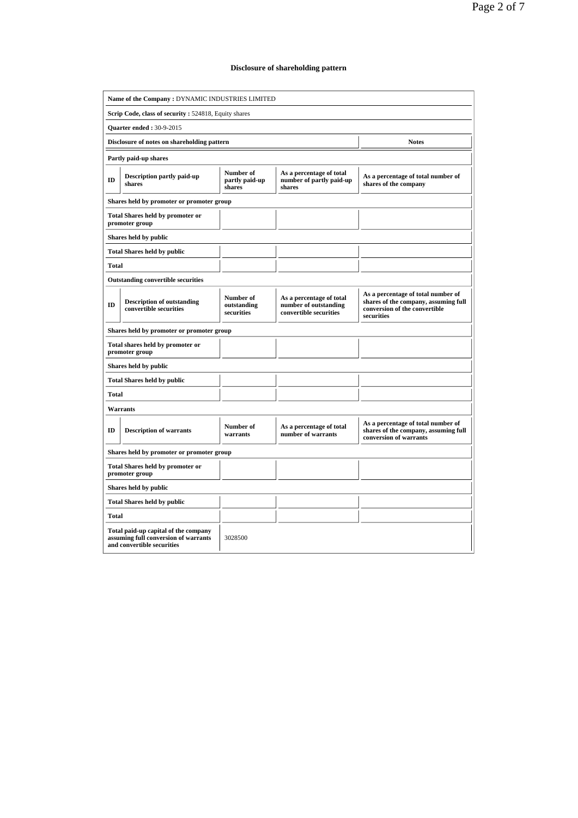## **Disclosure of shareholding pattern**

| Name of the Company: DYNAMIC INDUSTRIES LIMITED      |                                                                                                                       |                                                             |                                                                             |                                                                                                                           |  |  |  |  |  |  |
|------------------------------------------------------|-----------------------------------------------------------------------------------------------------------------------|-------------------------------------------------------------|-----------------------------------------------------------------------------|---------------------------------------------------------------------------------------------------------------------------|--|--|--|--|--|--|
| Scrip Code, class of security: 524818, Equity shares |                                                                                                                       |                                                             |                                                                             |                                                                                                                           |  |  |  |  |  |  |
| <b>Quarter ended: 30-9-2015</b>                      |                                                                                                                       |                                                             |                                                                             |                                                                                                                           |  |  |  |  |  |  |
|                                                      | Disclosure of notes on shareholding pattern<br><b>Notes</b>                                                           |                                                             |                                                                             |                                                                                                                           |  |  |  |  |  |  |
|                                                      | Partly paid-up shares                                                                                                 |                                                             |                                                                             |                                                                                                                           |  |  |  |  |  |  |
| ID                                                   | Description partly paid-up<br>shares                                                                                  | As a percentage of total number of<br>shares of the company |                                                                             |                                                                                                                           |  |  |  |  |  |  |
|                                                      | Shares held by promoter or promoter group                                                                             |                                                             |                                                                             |                                                                                                                           |  |  |  |  |  |  |
|                                                      | <b>Total Shares held by promoter or</b><br>promoter group                                                             |                                                             |                                                                             |                                                                                                                           |  |  |  |  |  |  |
|                                                      | Shares held by public                                                                                                 |                                                             |                                                                             |                                                                                                                           |  |  |  |  |  |  |
|                                                      | <b>Total Shares held by public</b>                                                                                    |                                                             |                                                                             |                                                                                                                           |  |  |  |  |  |  |
| <b>Total</b>                                         |                                                                                                                       |                                                             |                                                                             |                                                                                                                           |  |  |  |  |  |  |
|                                                      | <b>Outstanding convertible securities</b>                                                                             |                                                             |                                                                             |                                                                                                                           |  |  |  |  |  |  |
| ID                                                   | <b>Description of outstanding</b><br>convertible securities                                                           | Number of<br>outstanding<br>securities                      | As a percentage of total<br>number of outstanding<br>convertible securities | As a percentage of total number of<br>shares of the company, assuming full<br>conversion of the convertible<br>securities |  |  |  |  |  |  |
|                                                      | Shares held by promoter or promoter group                                                                             |                                                             |                                                                             |                                                                                                                           |  |  |  |  |  |  |
|                                                      | Total shares held by promoter or<br>promoter group                                                                    |                                                             |                                                                             |                                                                                                                           |  |  |  |  |  |  |
|                                                      | Shares held by public                                                                                                 |                                                             |                                                                             |                                                                                                                           |  |  |  |  |  |  |
|                                                      | <b>Total Shares held by public</b>                                                                                    |                                                             |                                                                             |                                                                                                                           |  |  |  |  |  |  |
| Total                                                |                                                                                                                       |                                                             |                                                                             |                                                                                                                           |  |  |  |  |  |  |
|                                                      | Warrants                                                                                                              |                                                             |                                                                             |                                                                                                                           |  |  |  |  |  |  |
| ID                                                   | <b>Description of warrants</b>                                                                                        | Number of<br>warrants                                       | As a percentage of total<br>number of warrants                              | As a percentage of total number of<br>shares of the company, assuming full<br>conversion of warrants                      |  |  |  |  |  |  |
|                                                      | Shares held by promoter or promoter group                                                                             |                                                             |                                                                             |                                                                                                                           |  |  |  |  |  |  |
|                                                      | <b>Total Shares held by promoter or</b><br>promoter group                                                             |                                                             |                                                                             |                                                                                                                           |  |  |  |  |  |  |
|                                                      | Shares held by public                                                                                                 |                                                             |                                                                             |                                                                                                                           |  |  |  |  |  |  |
|                                                      | <b>Total Shares held by public</b>                                                                                    |                                                             |                                                                             |                                                                                                                           |  |  |  |  |  |  |
| <b>Total</b>                                         |                                                                                                                       |                                                             |                                                                             |                                                                                                                           |  |  |  |  |  |  |
|                                                      | Total paid-up capital of the company<br>assuming full conversion of warrants<br>3028500<br>and convertible securities |                                                             |                                                                             |                                                                                                                           |  |  |  |  |  |  |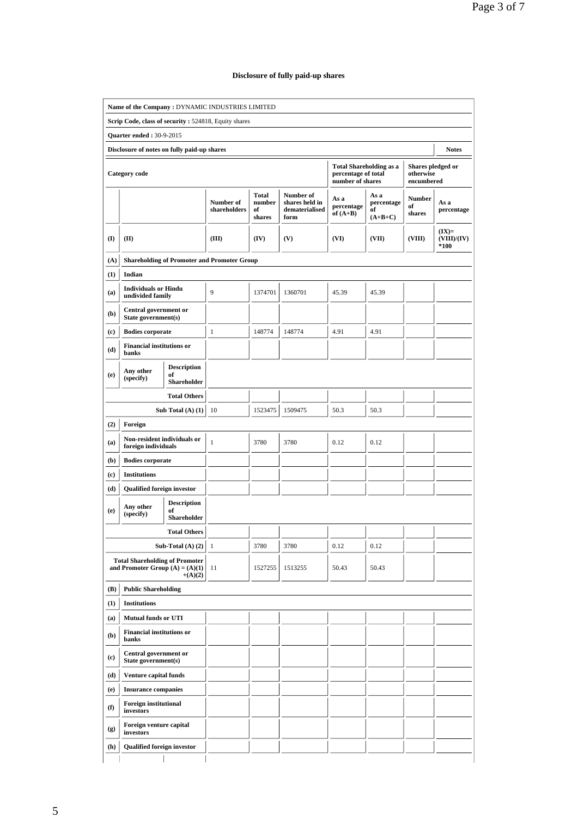## **Disclosure of fully paid-up shares**

|                                                             | Name of the Company: DYNAMIC INDUSTRIES LIMITED                            |                                                |                                                    |                                 |                                                       |                                         |                                       |                                              |                                  |  |
|-------------------------------------------------------------|----------------------------------------------------------------------------|------------------------------------------------|----------------------------------------------------|---------------------------------|-------------------------------------------------------|-----------------------------------------|---------------------------------------|----------------------------------------------|----------------------------------|--|
|                                                             | Scrip Code, class of security: 524818, Equity shares                       |                                                |                                                    |                                 |                                                       |                                         |                                       |                                              |                                  |  |
|                                                             | <b>Quarter ended: 30-9-2015</b>                                            |                                                |                                                    |                                 |                                                       |                                         |                                       |                                              |                                  |  |
| Disclosure of notes on fully paid-up shares<br><b>Notes</b> |                                                                            |                                                |                                                    |                                 |                                                       |                                         |                                       |                                              |                                  |  |
|                                                             | Category code                                                              |                                                |                                                    |                                 |                                                       | percentage of total<br>number of shares | <b>Total Shareholding as a</b>        | Shares pledged or<br>otherwise<br>encumbered |                                  |  |
|                                                             |                                                                            |                                                | Number of<br>shareholders                          | Total<br>number<br>of<br>shares | Number of<br>shares held in<br>dematerialised<br>form | As a<br>percentage<br>of $(A+B)$        | As a<br>percentage<br>of<br>$(A+B+C)$ | <b>Number</b><br>of<br>shares                | As a<br>percentage               |  |
| (I)                                                         | (II)                                                                       |                                                | (III)                                              | (IV)                            | (V)                                                   | (VI)                                    | (VII)                                 | (VIII)                                       | $(IX)=$<br>(VIII)/(IV)<br>$*100$ |  |
| (A)                                                         |                                                                            |                                                | <b>Shareholding of Promoter and Promoter Group</b> |                                 |                                                       |                                         |                                       |                                              |                                  |  |
| (1)                                                         | Indian                                                                     |                                                |                                                    |                                 |                                                       |                                         |                                       |                                              |                                  |  |
| (a)                                                         | <b>Individuals or Hindu</b><br>undivided family                            |                                                | 9                                                  | 1374701                         | 1360701                                               | 45.39                                   | 45.39                                 |                                              |                                  |  |
| (b)                                                         | Central government or<br>State government(s)                               |                                                |                                                    |                                 |                                                       |                                         |                                       |                                              |                                  |  |
| (c)                                                         | <b>Bodies</b> corporate                                                    |                                                | $\mathbf{1}$                                       | 148774                          | 148774                                                | 4.91                                    | 4.91                                  |                                              |                                  |  |
| (d)                                                         | <b>Financial institutions or</b><br>banks                                  |                                                |                                                    |                                 |                                                       |                                         |                                       |                                              |                                  |  |
| (e)                                                         | Any other<br>(specify)                                                     | <b>Description</b><br>of<br><b>Shareholder</b> |                                                    |                                 |                                                       |                                         |                                       |                                              |                                  |  |
|                                                             |                                                                            | <b>Total Others</b>                            |                                                    |                                 |                                                       |                                         |                                       |                                              |                                  |  |
|                                                             | Sub Total $(A)$ $(1)$                                                      |                                                | 10                                                 | 1523475                         | 1509475                                               | 50.3                                    | 50.3                                  |                                              |                                  |  |
| (2)                                                         | Foreign                                                                    |                                                |                                                    |                                 |                                                       |                                         |                                       |                                              |                                  |  |
| (a)                                                         | Non-resident individuals or<br>foreign individuals                         |                                                | $\mathbf{1}$                                       | 3780                            | 3780                                                  | 0.12                                    | 0.12                                  |                                              |                                  |  |
| (b)                                                         | <b>Bodies corporate</b>                                                    |                                                |                                                    |                                 |                                                       |                                         |                                       |                                              |                                  |  |
| $\left( \mathbf{c} \right)$                                 | <b>Institutions</b>                                                        |                                                |                                                    |                                 |                                                       |                                         |                                       |                                              |                                  |  |
| (d)                                                         | <b>Qualified foreign investor</b>                                          |                                                |                                                    |                                 |                                                       |                                         |                                       |                                              |                                  |  |
| (e)                                                         | Any other<br>(specify)                                                     | <b>Description</b><br>of<br><b>Shareholder</b> |                                                    |                                 |                                                       |                                         |                                       |                                              |                                  |  |
|                                                             |                                                                            | <b>Total Others</b>                            |                                                    |                                 |                                                       |                                         |                                       |                                              |                                  |  |
|                                                             |                                                                            | Sub-Total $(A)$ $(2)$                          | $\mathbf{1}$                                       | 3780                            | 3780                                                  | 0.12                                    | 0.12                                  |                                              |                                  |  |
|                                                             | <b>Total Shareholding of Promoter</b><br>and Promoter Group $(A) = (A)(1)$ | $+(A)(2)$                                      | 11                                                 | 1527255                         | 1513255                                               | 50.43                                   | 50.43                                 |                                              |                                  |  |
| (B)                                                         | <b>Public Shareholding</b>                                                 |                                                |                                                    |                                 |                                                       |                                         |                                       |                                              |                                  |  |
| (1)                                                         | <b>Institutions</b>                                                        |                                                |                                                    |                                 |                                                       |                                         |                                       |                                              |                                  |  |
| (a)                                                         | <b>Mutual funds or UTI</b>                                                 |                                                |                                                    |                                 |                                                       |                                         |                                       |                                              |                                  |  |
| (b)                                                         | <b>Financial institutions or</b><br>banks                                  |                                                |                                                    |                                 |                                                       |                                         |                                       |                                              |                                  |  |
| $\left( \mathbf{c}\right)$                                  | <b>Central government or</b><br>State government(s)                        |                                                |                                                    |                                 |                                                       |                                         |                                       |                                              |                                  |  |
| (d)                                                         | Venture capital funds                                                      |                                                |                                                    |                                 |                                                       |                                         |                                       |                                              |                                  |  |
| (e)                                                         | <b>Insurance companies</b>                                                 |                                                |                                                    |                                 |                                                       |                                         |                                       |                                              |                                  |  |
| $\mathbf f$                                                 | <b>Foreign institutional</b><br>investors                                  |                                                |                                                    |                                 |                                                       |                                         |                                       |                                              |                                  |  |
| (g)                                                         | Foreign venture capital<br>investors                                       |                                                |                                                    |                                 |                                                       |                                         |                                       |                                              |                                  |  |
| (h)                                                         | <b>Qualified foreign investor</b>                                          |                                                |                                                    |                                 |                                                       |                                         |                                       |                                              |                                  |  |
|                                                             |                                                                            |                                                |                                                    |                                 |                                                       |                                         |                                       |                                              |                                  |  |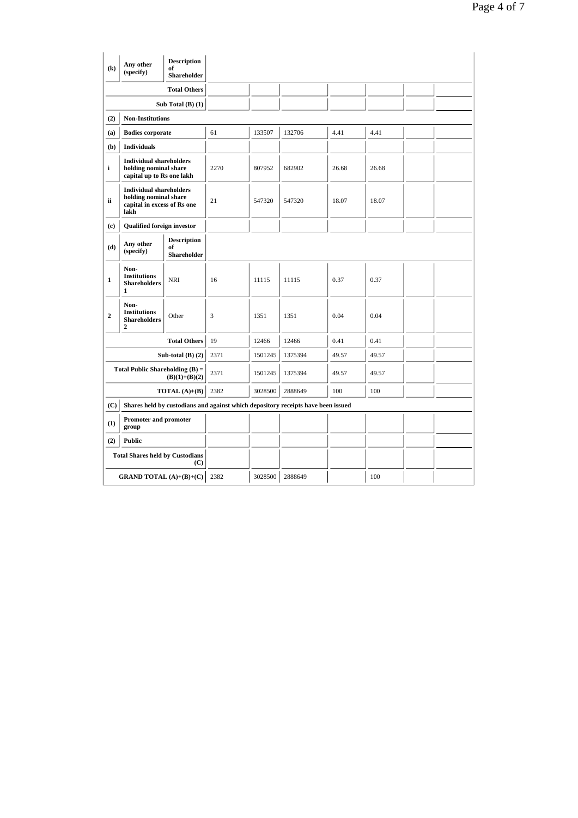| $\left( \mathbf{k}\right)$                    | Any other<br>(specify)                                                                         | <b>Description</b><br>of<br>Shareholder |      |         |         |       |       |  |  |
|-----------------------------------------------|------------------------------------------------------------------------------------------------|-----------------------------------------|------|---------|---------|-------|-------|--|--|
|                                               | <b>Total Others</b>                                                                            |                                         |      |         |         |       |       |  |  |
|                                               |                                                                                                | Sub Total $(B)$ $(1)$                   |      |         |         |       |       |  |  |
| (2)                                           | <b>Non-Institutions</b>                                                                        |                                         |      |         |         |       |       |  |  |
| (a)                                           | <b>Bodies corporate</b>                                                                        |                                         | 61   | 133507  | 132706  | 4.41  | 4.41  |  |  |
| (b)                                           | <b>Individuals</b>                                                                             |                                         |      |         |         |       |       |  |  |
| i                                             | <b>Individual shareholders</b><br>holding nominal share<br>capital up to Rs one lakh           |                                         | 2270 | 807952  | 682902  | 26.68 | 26.68 |  |  |
| ii.                                           | <b>Individual shareholders</b><br>holding nominal share<br>capital in excess of Rs one<br>lakh |                                         | 21   | 547320  | 547320  | 18.07 | 18.07 |  |  |
| (c)                                           | <b>Qualified foreign investor</b>                                                              |                                         |      |         |         |       |       |  |  |
| (d)                                           | Any other<br>(specify)                                                                         | <b>Description</b><br>of<br>Shareholder |      |         |         |       |       |  |  |
| 1                                             | Non-<br><b>Institutions</b><br><b>Shareholders</b><br>1                                        | <b>NRI</b>                              | 16   | 11115   | 11115   | 0.37  | 0.37  |  |  |
| $\boldsymbol{2}$                              | Non-<br><b>Institutions</b><br><b>Shareholders</b><br>$\mathbf{2}$                             | Other                                   | 3    | 1351    | 1351    | 0.04  | 0.04  |  |  |
|                                               |                                                                                                | <b>Total Others</b>                     | 19   | 12466   | 12466   | 0.41  | 0.41  |  |  |
|                                               |                                                                                                | Sub-total $(B)$ $(2)$                   | 2371 | 1501245 | 1375394 | 49.57 | 49.57 |  |  |
|                                               | Total Public Shareholding $(B)$ =                                                              | $(B)(1)+(B)(2)$                         | 2371 | 1501245 | 1375394 | 49.57 | 49.57 |  |  |
|                                               |                                                                                                | TOTAL $(A)+(B)$                         | 2382 | 3028500 | 2888649 | 100   | 100   |  |  |
| (C)                                           | Shares held by custodians and against which depository receipts have been issued               |                                         |      |         |         |       |       |  |  |
| Promoter and promoter<br>(1)<br>group         |                                                                                                |                                         |      |         |         |       |       |  |  |
| (2)                                           | <b>Public</b>                                                                                  |                                         |      |         |         |       |       |  |  |
| <b>Total Shares held by Custodians</b><br>(C) |                                                                                                |                                         |      |         |         |       |       |  |  |
| <b>GRAND TOTAL</b> $(A)+(B)+(C)$              |                                                                                                |                                         | 2382 | 3028500 | 2888649 |       | 100   |  |  |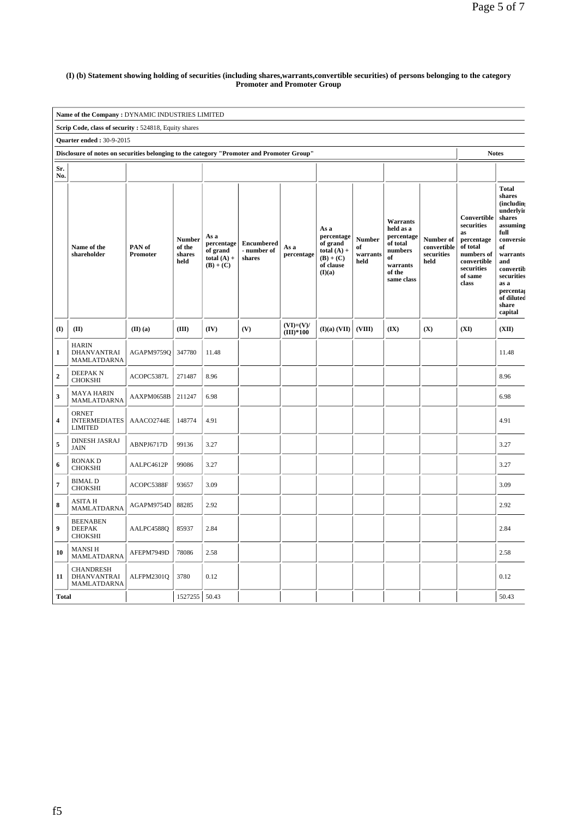#### **(I) (b) Statement showing holding of securities (including shares,warrants,convertible securities) of persons belonging to the category Promoter and Promoter Group**

|                                                                                                           | Name of the Company : DYNAMIC INDUSTRIES LIMITED       |                    |                                           |                                                                |                                            |                            |                                                                                       |                                         |                                                                                                      |                                                |                                                                                                                          |                                                                                                                                                                                                        |
|-----------------------------------------------------------------------------------------------------------|--------------------------------------------------------|--------------------|-------------------------------------------|----------------------------------------------------------------|--------------------------------------------|----------------------------|---------------------------------------------------------------------------------------|-----------------------------------------|------------------------------------------------------------------------------------------------------|------------------------------------------------|--------------------------------------------------------------------------------------------------------------------------|--------------------------------------------------------------------------------------------------------------------------------------------------------------------------------------------------------|
|                                                                                                           | Scrip Code, class of security: 524818, Equity shares   |                    |                                           |                                                                |                                            |                            |                                                                                       |                                         |                                                                                                      |                                                |                                                                                                                          |                                                                                                                                                                                                        |
|                                                                                                           | <b>Quarter ended: 30-9-2015</b>                        |                    |                                           |                                                                |                                            |                            |                                                                                       |                                         |                                                                                                      |                                                |                                                                                                                          |                                                                                                                                                                                                        |
| Disclosure of notes on securities belonging to the category "Promoter and Promoter Group"<br><b>Notes</b> |                                                        |                    |                                           |                                                                |                                            |                            |                                                                                       |                                         |                                                                                                      |                                                |                                                                                                                          |                                                                                                                                                                                                        |
| Sr.<br>No.                                                                                                |                                                        |                    |                                           |                                                                |                                            |                            |                                                                                       |                                         |                                                                                                      |                                                |                                                                                                                          |                                                                                                                                                                                                        |
|                                                                                                           | Name of the<br>shareholder                             | PAN of<br>Promoter | <b>Number</b><br>of the<br>shares<br>held | As a<br>percentage<br>of grand<br>total $(A)$ +<br>$(B) + (C)$ | <b>Encumbered</b><br>- number of<br>shares | As a<br>percentage         | As a<br>percentage<br>of grand<br>total $(A)$ +<br>$(B) + (C)$<br>of clause<br>(I)(a) | <b>Number</b><br>of<br>warrants<br>held | Warrants<br>held as a<br>percentage<br>of total<br>numbers<br>of<br>warrants<br>of the<br>same class | Number of<br>convertible<br>securities<br>held | Convertible<br>securities<br>as<br>percentage<br>of total<br>numbers of<br>convertible<br>securities<br>of same<br>class | <b>Total</b><br>shares<br>(includin<br>underlyir<br>shares<br>assuming<br>full<br>conversio<br>of<br>warrants<br>and<br>convertib<br>securities<br>as a<br>percentas<br>of diluted<br>share<br>capital |
| $($ $\Gamma$                                                                                              | (II)                                                   | (II)(a)            | (III)                                     | (IV)                                                           | (V)                                        | $(VI)=(V)/$<br>$(III)*100$ | (I)(a) (VII)                                                                          | (VIII)                                  | (IX)                                                                                                 | (X)                                            | (XI)                                                                                                                     | (XII)                                                                                                                                                                                                  |
| $\mathbf{1}$                                                                                              | <b>HARIN</b><br>DHANVANTRAI<br>MAMLATDARNA             | AGAPM9759Q         | 347780                                    | 11.48                                                          |                                            |                            |                                                                                       |                                         |                                                                                                      |                                                |                                                                                                                          | 11.48                                                                                                                                                                                                  |
| $\overline{2}$                                                                                            | <b>DEEPAKN</b><br>CHOKSHI                              | ACOPC5387L         | 271487                                    | 8.96                                                           |                                            |                            |                                                                                       |                                         |                                                                                                      |                                                |                                                                                                                          | 8.96                                                                                                                                                                                                   |
| $\mathbf{3}$                                                                                              | <b>MAYA HARIN</b><br>MAMLATDARNA                       | AAXPM0658B         | 211247                                    | 6.98                                                           |                                            |                            |                                                                                       |                                         |                                                                                                      |                                                |                                                                                                                          | 6.98                                                                                                                                                                                                   |
| $\overline{\mathbf{4}}$                                                                                   | <b>ORNET</b><br><b>INTERMEDIATES</b><br><b>LIMITED</b> | AAACO2744E         | 148774                                    | 4.91                                                           |                                            |                            |                                                                                       |                                         |                                                                                                      |                                                |                                                                                                                          | 4.91                                                                                                                                                                                                   |
| 5                                                                                                         | <b>DINESH JASRAJ</b><br><b>JAIN</b>                    | ABNPJ6717D         | 99136                                     | 3.27                                                           |                                            |                            |                                                                                       |                                         |                                                                                                      |                                                |                                                                                                                          | 3.27                                                                                                                                                                                                   |
| 6                                                                                                         | <b>RONAKD</b><br><b>CHOKSHI</b>                        | AALPC4612P         | 99086                                     | 3.27                                                           |                                            |                            |                                                                                       |                                         |                                                                                                      |                                                |                                                                                                                          | 3.27                                                                                                                                                                                                   |
| $\overline{7}$                                                                                            | <b>BIMAL D</b><br><b>CHOKSHI</b>                       | ACOPC5388F         | 93657                                     | 3.09                                                           |                                            |                            |                                                                                       |                                         |                                                                                                      |                                                |                                                                                                                          | 3.09                                                                                                                                                                                                   |
| ${\bf 8}$                                                                                                 | <b>ASITA H</b><br>MAMLATDARNA                          | AGAPM9754D         | 88285                                     | 2.92                                                           |                                            |                            |                                                                                       |                                         |                                                                                                      |                                                |                                                                                                                          | 2.92                                                                                                                                                                                                   |
| $\overline{9}$                                                                                            | <b>BEENABEN</b><br><b>DEEPAK</b><br><b>CHOKSHI</b>     | AALPC45880         | 85937                                     | 2.84                                                           |                                            |                            |                                                                                       |                                         |                                                                                                      |                                                |                                                                                                                          | 2.84                                                                                                                                                                                                   |
| 10                                                                                                        | <b>MANSIH</b><br>MAMLATDARNA                           | AFEPM7949D         | 78086                                     | 2.58                                                           |                                            |                            |                                                                                       |                                         |                                                                                                      |                                                |                                                                                                                          | 2.58                                                                                                                                                                                                   |
| 11                                                                                                        | <b>CHANDRESH</b><br>DHANVANTRAI<br>MAMLATDARNA         | ALFPM2301Q         | 3780                                      | 0.12                                                           |                                            |                            |                                                                                       |                                         |                                                                                                      |                                                |                                                                                                                          | 0.12                                                                                                                                                                                                   |
| <b>Total</b>                                                                                              |                                                        |                    | 1527255                                   | 50.43                                                          |                                            |                            |                                                                                       |                                         |                                                                                                      |                                                |                                                                                                                          | 50.43                                                                                                                                                                                                  |